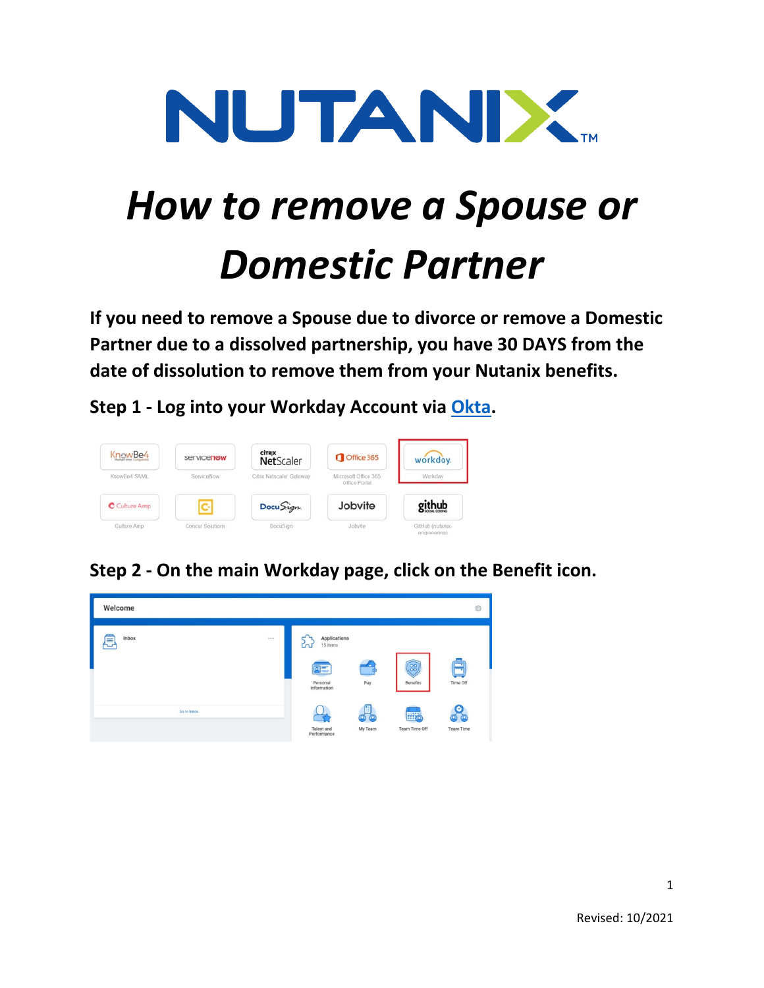

# *How to remove a Spouse or Domestic Partner*

**If you need to remove a Spouse due to divorce or remove a Domestic Partner due to a dissolved partnership, you have 30 DAYS from the date of dissolution to remove them from your Nutanix benefits.**

**Step 1 - Log into your Workday Account via [Okta.](https://nutanix.okta.com/)**



**Step 2 - On the main Workday page, click on the Benefit icon.**

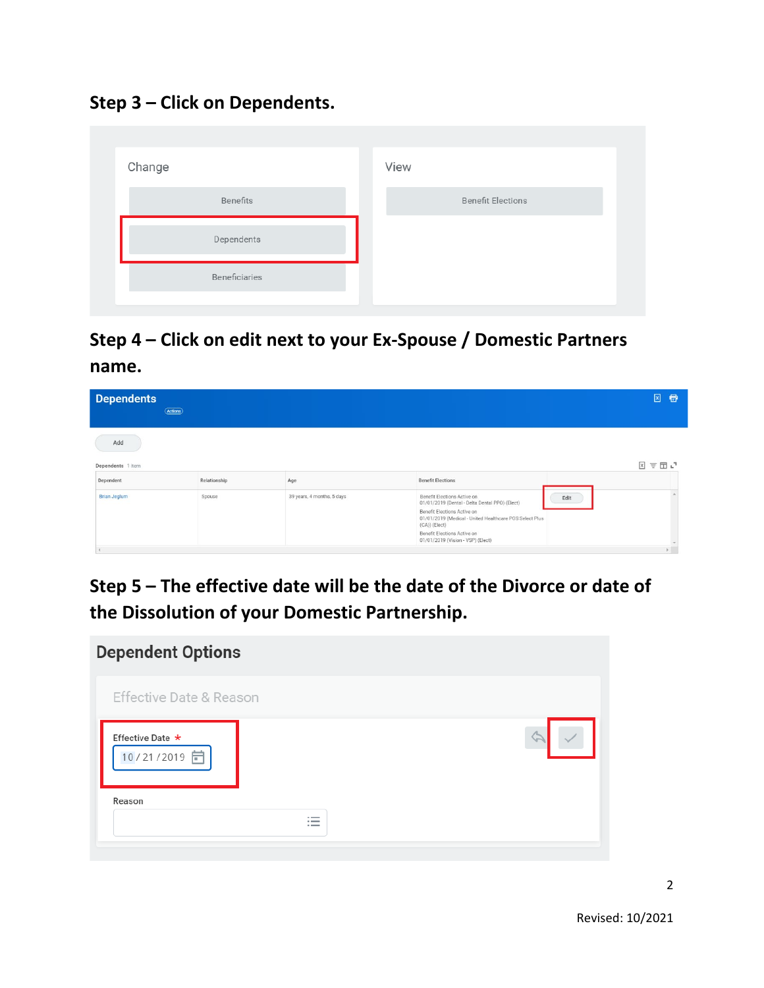**Step 3 – Click on Dependents.**

| Change        | View                     |
|---------------|--------------------------|
| Benefits      | <b>Benefit Elections</b> |
| Dependents    |                          |
| Beneficiaries |                          |
|               |                          |

**Step 4 – Click on edit next to your Ex-Spouse / Domestic Partners name.** 

| <b>Dependents</b>        | (Actions)    |                            |                                                                                                                                                                                                                                                                      | $\boxed{x}$<br>目 |
|--------------------------|--------------|----------------------------|----------------------------------------------------------------------------------------------------------------------------------------------------------------------------------------------------------------------------------------------------------------------|------------------|
| Add<br>Dependents 1 item |              |                            |                                                                                                                                                                                                                                                                      | 図言団门             |
| Dependent                | Relationship | Age                        | <b>Benefit Elections</b>                                                                                                                                                                                                                                             |                  |
| <b>Brian Jeglum</b>      | Spouse       | 39 years, 4 months, 5 days | Benefit Elections Active on<br>Edit<br>01/01/2019 (Dental - Delta Dental PPO) (Elect)<br>Benefit Elections Active on<br>01/01/2019 (Medical - United Healthcare POS Select Plus<br>(CA)) (Elect)<br>Benefit Elections Active on<br>01/01/2019 (Vision - VSP) (Elect) |                  |

**Step 5 – The effective date will be the date of the Divorce or date of the Dissolution of your Domestic Partnership.** 

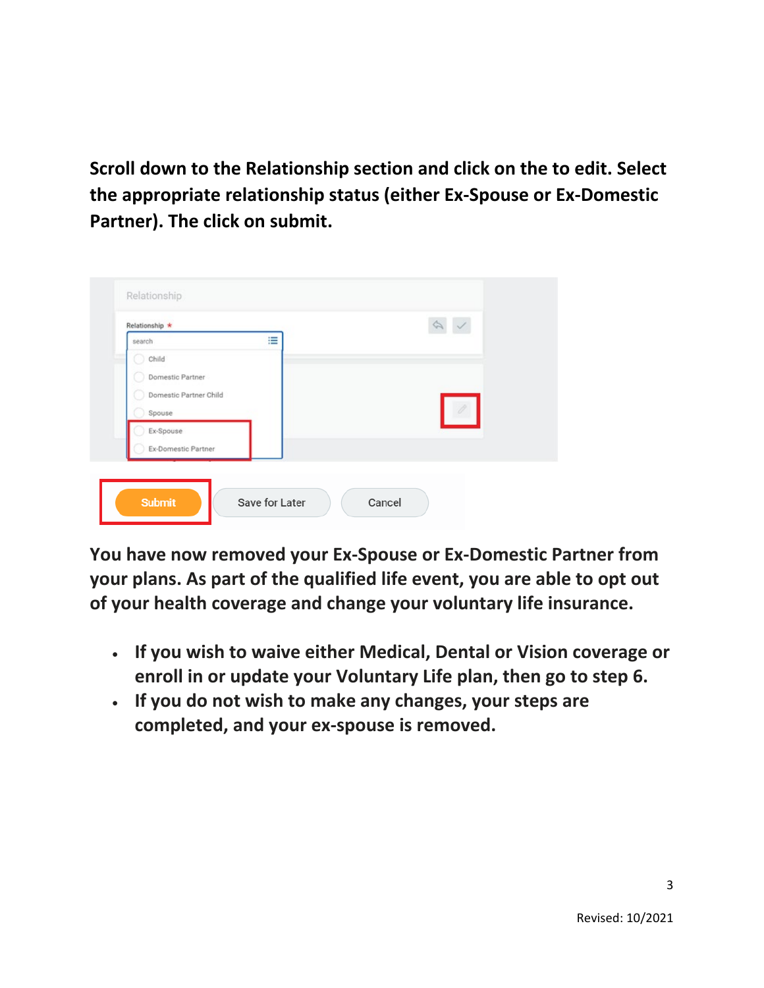**Scroll down to the Relationship section and click on the to edit. Select the appropriate relationship status (either Ex-Spouse or Ex-Domestic Partner). The click on submit.**

| search                 | ≡ |  |
|------------------------|---|--|
| Child                  |   |  |
| Domestic Partner       |   |  |
| Domestic Partner Child |   |  |
| Spouse                 |   |  |
| Ex-Spouse              |   |  |
| Ex-Domestic Partner    |   |  |

**You have now removed your Ex-Spouse or Ex-Domestic Partner from your plans. As part of the qualified life event, you are able to opt out of your health coverage and change your voluntary life insurance.**

- **If you wish to waive either Medical, Dental or Vision coverage or enroll in or update your Voluntary Life plan, then go to step 6.**
- **If you do not wish to make any changes, your steps are completed, and your ex-spouse is removed.**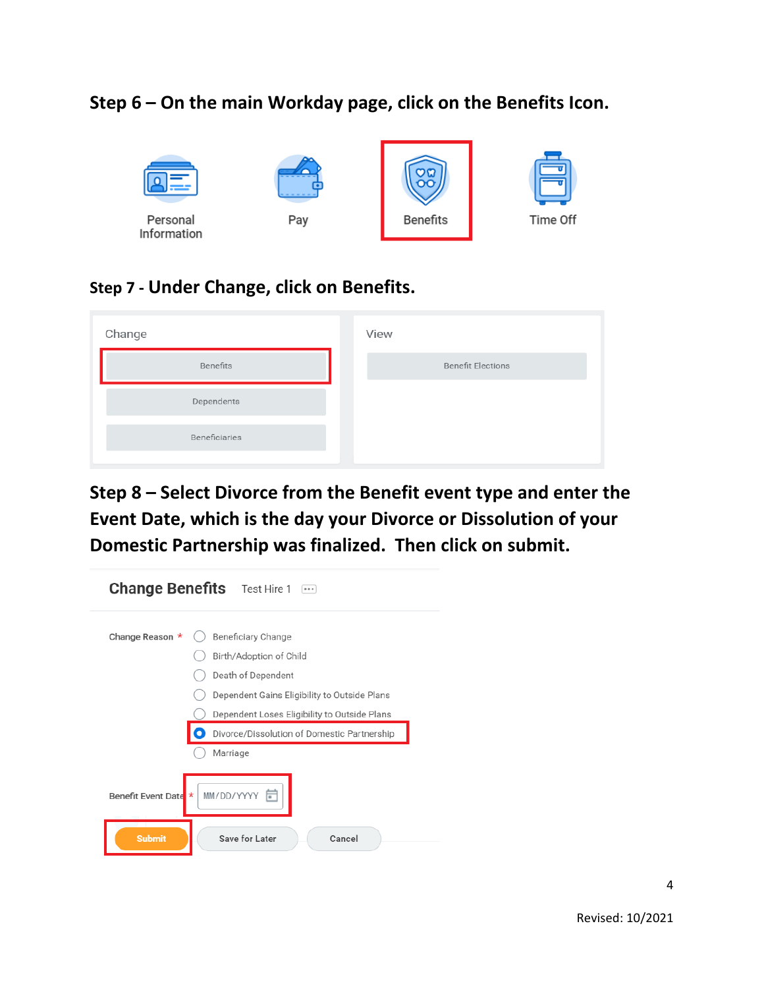#### **Step 6 – On the main Workday page, click on the Benefits Icon.**



#### **Step 7 - Under Change, click on Benefits.**

| Change        | View                     |
|---------------|--------------------------|
| Benefits      | <b>Benefit Elections</b> |
| Dependents    |                          |
| Beneficiaries |                          |
|               |                          |

**Step 8 – Select Divorce from the Benefit event type and enter the Event Date, which is the day your Divorce or Dissolution of your Domestic Partnership was finalized. Then click on submit.**

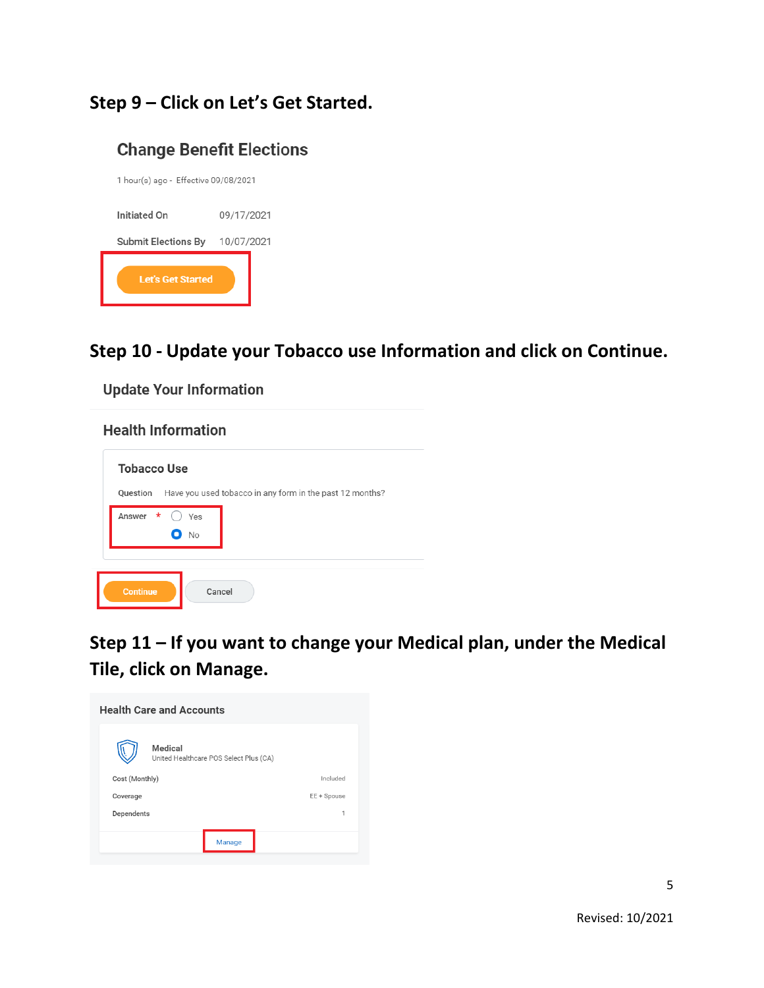# **Step 9 – Click on Let's Get Started.**

#### **Change Benefit Elections**

| Let's Get Started                    |            |
|--------------------------------------|------------|
| Submit Elections By                  | 10/07/2021 |
| Initiated On                         | 09/17/2021 |
| 1 hour(s) ago - Effective 09/08/2021 |            |

#### **Step 10 - Update your Tobacco use Information and click on Continue.**

**Update Your Information** 

# **Health Information Tobacco Use** Question Have you used tobacco in any form in the past 12 months? Answer \* O Yes  $\bullet$  No  $\mbox{\sf C}$

**Step 11 – If you want to change your Medical plan, under the Medical Tile, click on Manage.**

| <b>Health Care and Accounts</b>                   |             |
|---------------------------------------------------|-------------|
| Medical<br>United Healthcare POS Select Plus (CA) |             |
| Cost (Monthly)                                    | Included    |
| Coverage                                          | EE + Spouse |
| Dependents                                        | 1           |
|                                                   |             |
| Manage                                            |             |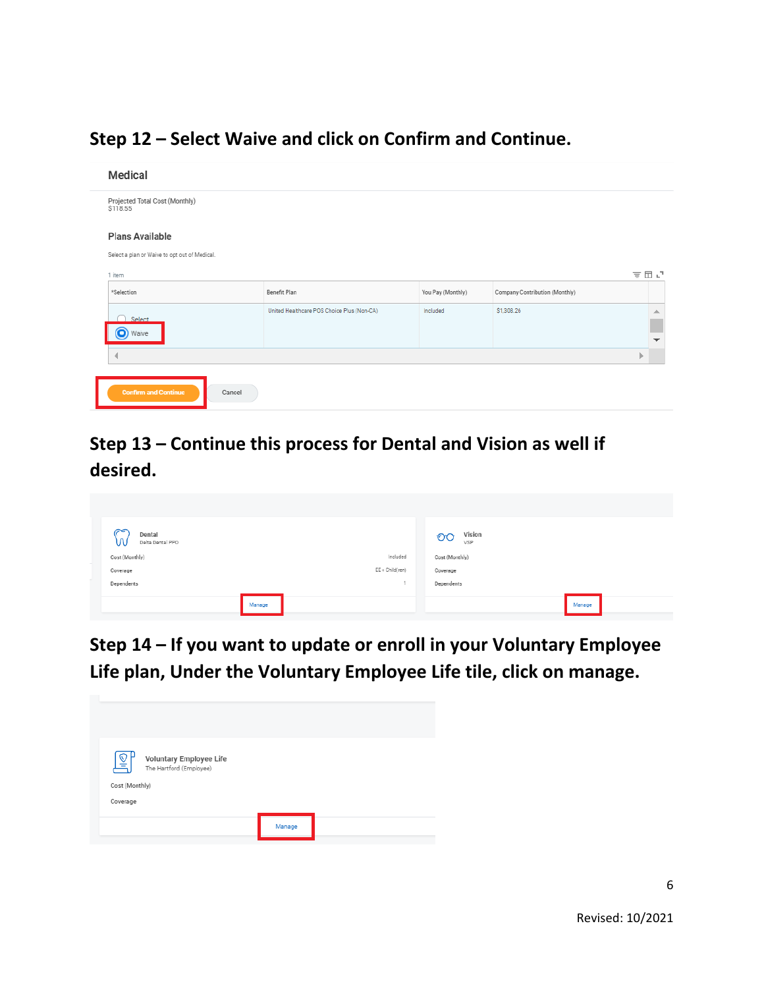# **Step 12 – Select Waive and click on Confirm and Continue.**

| Medical                                                                 |                                            |                   |                                |     |                               |
|-------------------------------------------------------------------------|--------------------------------------------|-------------------|--------------------------------|-----|-------------------------------|
| Projected Total Cost (Monthly)<br>\$118.55                              |                                            |                   |                                |     |                               |
| <b>Plans Available</b><br>Select a plan or Waive to opt out of Medical. |                                            |                   |                                |     |                               |
| 1 item                                                                  |                                            |                   |                                | 支団に |                               |
| *Selection                                                              | Benefit Plan                               | You Pay (Monthly) | Company Contribution (Monthly) |     |                               |
| Select<br>O) Waive                                                      | United Healthcare POS Choice Plus (Non-CA) | Included          | \$1,308.26                     |     | ▲<br>$\overline{\phantom{a}}$ |
| ∢                                                                       |                                            |                   |                                | Þ   |                               |
| <b>Confirm and Continue</b><br>Cancel                                   |                                            |                   |                                |     |                               |

# **Step 13 – Continue this process for Dental and Vision as well if desired.**

| ≈<br>Dental<br>w<br>Delta Dental PPO |        |                   | Vision<br>OC<br>VSP |        |
|--------------------------------------|--------|-------------------|---------------------|--------|
| Cost (Monthly)                       |        | Included          | Cost (Monthly)      |        |
| Coverage                             |        | $EE + Child(ren)$ | Coverage            |        |
| Dependents                           |        |                   | Dependents          |        |
|                                      | Manage |                   |                     | Manage |

**Step 14 – If you want to update or enroll in your Voluntary Employee Life plan, Under the Voluntary Employee Life tile, click on manage.**

| k<br>Voluntary Employee Life<br>The Hartford (Employee) |        |  |
|---------------------------------------------------------|--------|--|
| Cost (Monthly)<br>Coverage                              |        |  |
|                                                         | Manage |  |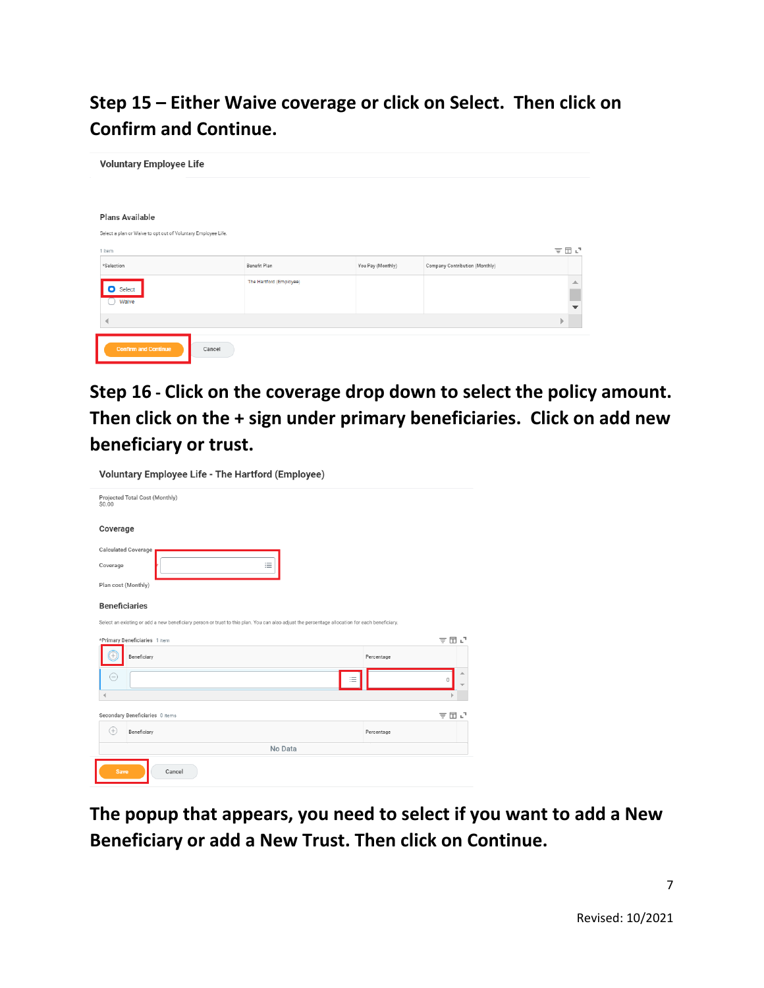**Step 15 – Either Waive coverage or click on Select. Then click on Confirm and Continue.**

| <b>Voluntary Employee Life</b>                                          |                         |                   |                                |                       |
|-------------------------------------------------------------------------|-------------------------|-------------------|--------------------------------|-----------------------|
| Plans Available                                                         |                         |                   |                                |                       |
| Select a plan or Waive to opt out of Voluntary Employee Life.<br>1 item |                         |                   |                                | 支田さ                   |
| *Selection                                                              | Benefit Plan            | You Pay (Monthly) | Company Contribution (Monthly) |                       |
| <b>O</b> Select<br>Waive                                                | The Hartford (Employee) |                   |                                | ∸<br>▼                |
| $\overline{\mathcal{A}}$                                                |                         |                   |                                | $\blacktriangleright$ |
| <b>Confirm and Continue</b><br>Cancel                                   |                         |                   |                                |                       |

**Step 16 - Click on the coverage drop down to select the policy amount. Then click on the + sign under primary beneficiaries. Click on add new beneficiary or trust.** 

| Voluntary Employee Life - The Hartford (Employee)                                                                                             |            |
|-----------------------------------------------------------------------------------------------------------------------------------------------|------------|
| Projected Total Cost (Monthly)<br>\$0.00                                                                                                      |            |
| Coverage                                                                                                                                      |            |
| Calculated Coverage                                                                                                                           |            |
| 洼<br>Coverage                                                                                                                                 |            |
| Plan cost (Monthly)                                                                                                                           |            |
| <b>Beneficiaries</b>                                                                                                                          |            |
| Select an existing or add a new beneficiary person or trust to this plan. You can also adjust the percentage allocation for each beneficiary. |            |
| *Primary Beneficiaries 1 item                                                                                                                 | 〒団↓        |
| Beneficiary                                                                                                                                   | Percentage |
| $\equiv$                                                                                                                                      | 0          |
|                                                                                                                                               |            |
| Secondary Beneficiaries 0 items                                                                                                               | 〒団⊾        |
| $^{(+)}$<br>Beneficiary                                                                                                                       | Percentage |
| No Data                                                                                                                                       |            |
| <b>Save</b><br>Cancel                                                                                                                         |            |

**The popup that appears, you need to select if you want to add a New Beneficiary or add a New Trust. Then click on Continue.**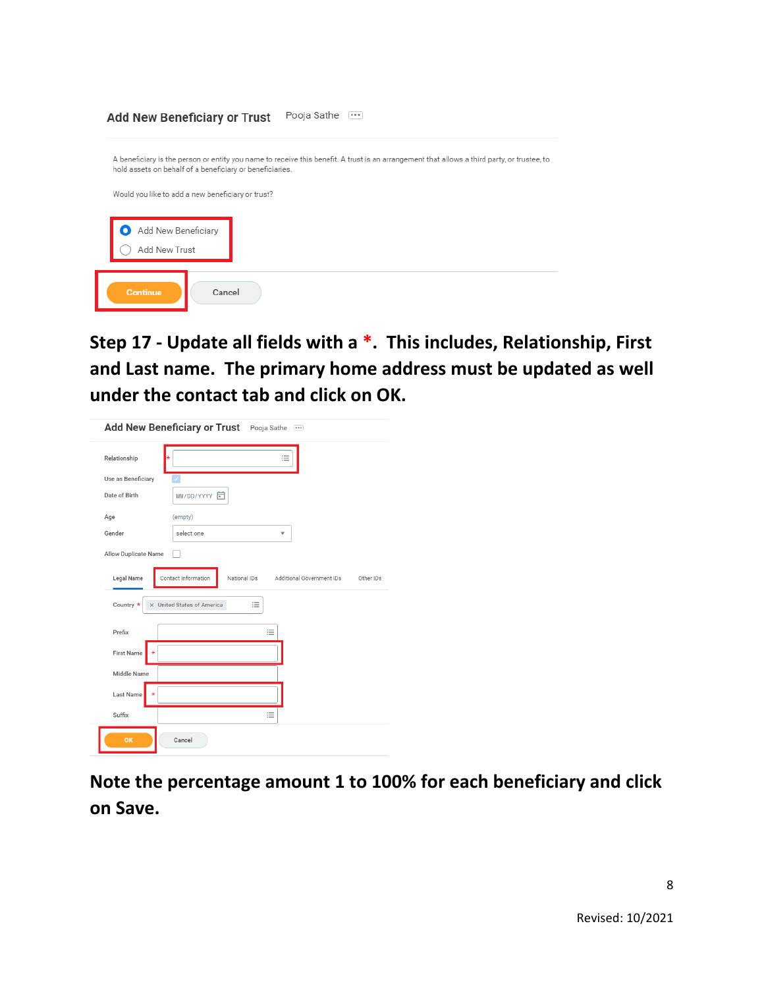

**Step 17 - Update all fields with a \*. This includes, Relationship, First and Last name. The primary home address must be updated as well under the contact tab and click on OK.**

| Relationship                       | 洼                                                                             |
|------------------------------------|-------------------------------------------------------------------------------|
| Use as Beneficiary                 |                                                                               |
| Date of Birth                      | MM/DD/YYYY 日                                                                  |
| Age                                | (empty)                                                                       |
| Gender                             | select one<br>$\overline{\mathbf{v}}$                                         |
| Allow Duplicate Name<br>Legal Name | Contact Information<br>National IDs<br>Additional Government IDs<br>Other IDs |
| Country *                          | X United States of America<br>洼                                               |
| Prefix                             | 洼                                                                             |
| <b>First Name</b><br>÷             |                                                                               |
| Middle Name                        |                                                                               |
| Last Name                          |                                                                               |
|                                    |                                                                               |

**Note the percentage amount 1 to 100% for each beneficiary and click on Save.**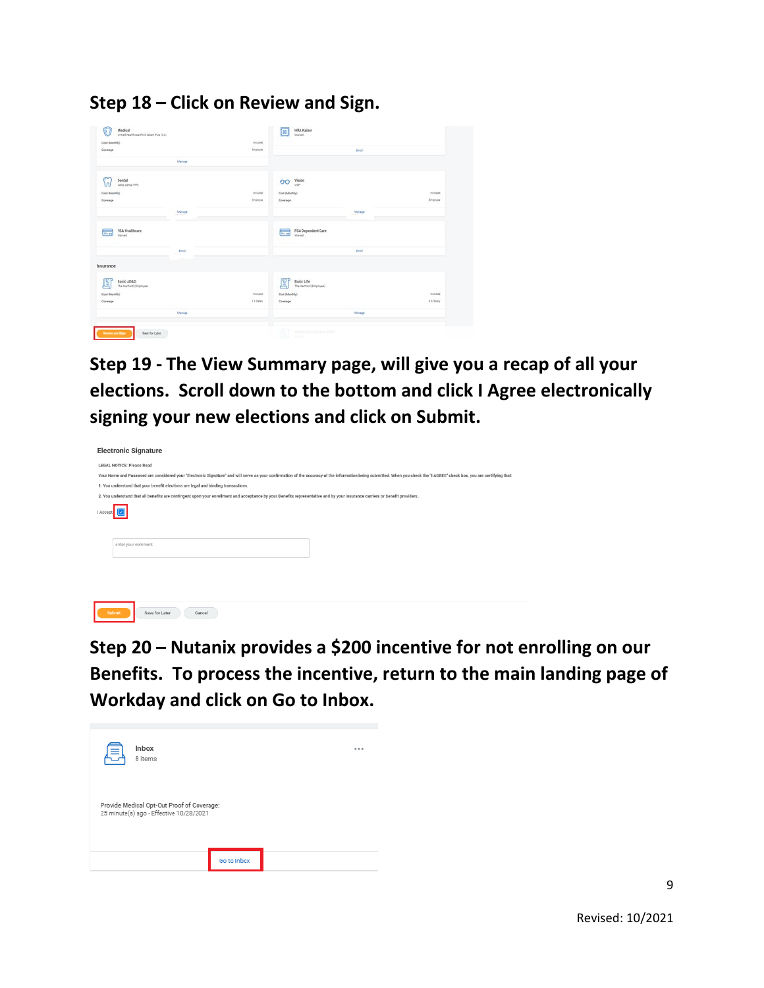**Step 18 – Click on Review and Sign.** 

| Cost (Monthly)                             | <b>Included:</b> |                                                   |           |
|--------------------------------------------|------------------|---------------------------------------------------|-----------|
| Coverage                                   | Engineer         | <b>Eval</b>                                       |           |
|                                            |                  |                                                   |           |
| Manage                                     |                  |                                                   |           |
| Dental<br>w<br>Delta Dertal PPO            |                  | Vision<br>OO.                                     |           |
| Cost (Monthly)                             | Included         | Cour (Monthly)                                    | Included  |
| Coverage                                   | Engineer         | Coverage                                          | Engineer  |
|                                            |                  |                                                   |           |
| Manage                                     |                  | Manage                                            |           |
| FSA Healthcare<br>$m_{\rm c}$<br>moved     |                  | FSA Dependent Care<br>Vision<br>$=$ $\frac{1}{2}$ |           |
| <b>Dych</b>                                |                  | Enroll                                            |           |
| Insurance                                  |                  |                                                   |           |
| Q<br>Basic AD&D<br>The Hartford (Employee) |                  | ହ<br>Basic Life<br>The Hartford (Employee)        |           |
| Cost (Monthly)                             | inpluted         | Cost (Monthly)                                    | Included: |
| Coverage                                   | 3 X Salary       | Coverage                                          | 3X Selety |
| Manage                                     |                  | Manage                                            |           |

**Step 19 - The View Summary page, will give you a recap of all your elections. Scroll down to the bottom and click I Agree electronically signing your new elections and click on Submit.**

| <b>Electronic Signature</b>                                                                                                                                                                                                |  |  |  |  |
|----------------------------------------------------------------------------------------------------------------------------------------------------------------------------------------------------------------------------|--|--|--|--|
| <b>LEGAL NOTICE: Please Read</b>                                                                                                                                                                                           |  |  |  |  |
| Your Name and Password are considered your "Electronic Signature" and will serve as your confirmation of the accuracy of the information being submitted. When you check the "I AGREE" check box, you are certifying that: |  |  |  |  |
| 1. You understand that your benefit elections are legal and binding transactions.                                                                                                                                          |  |  |  |  |
| 2. You understand that all benefits are contingent upon your enrollment and acceptance by your Benefits representative and by your insurance carriers or benefit providers.                                                |  |  |  |  |
|                                                                                                                                                                                                                            |  |  |  |  |
| enter your comment                                                                                                                                                                                                         |  |  |  |  |
|                                                                                                                                                                                                                            |  |  |  |  |
|                                                                                                                                                                                                                            |  |  |  |  |
| Submit<br>Save for Later<br>Cancel                                                                                                                                                                                         |  |  |  |  |

**Step 20 – Nutanix provides a \$200 incentive for not enrolling on our Benefits. To process the incentive, return to the main landing page of Workday and click on Go to Inbox.**